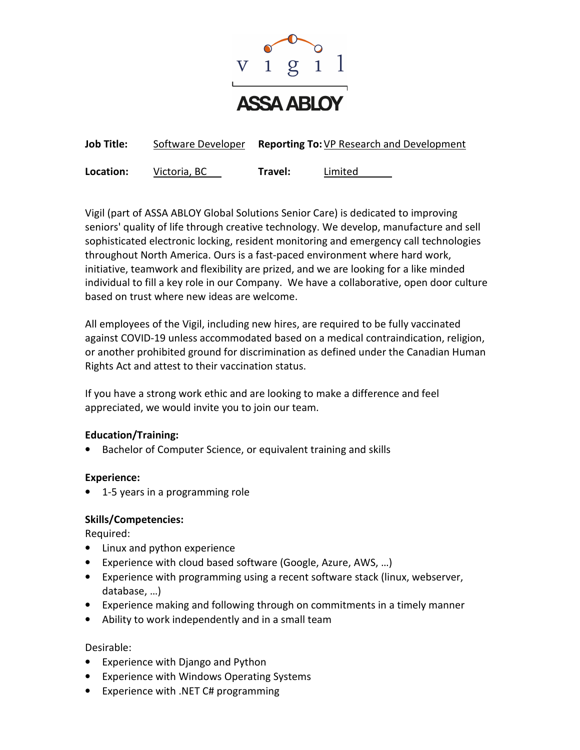

| <b>Job Title:</b> | Software Developer |         | <b>Reporting To:</b> VP Research and Development |
|-------------------|--------------------|---------|--------------------------------------------------|
| Location:         | Victoria, BC       | Travel: | Limited                                          |

Vigil (part of ASSA ABLOY Global Solutions Senior Care) is dedicated to improving seniors' quality of life through creative technology. We develop, manufacture and sell sophisticated electronic locking, resident monitoring and emergency call technologies throughout North America. Ours is a fast-paced environment where hard work, initiative, teamwork and flexibility are prized, and we are looking for a like minded individual to fill a key role in our Company. We have a collaborative, open door culture based on trust where new ideas are welcome.

All employees of the Vigil, including new hires, are required to be fully vaccinated against COVID-19 unless accommodated based on a medical contraindication, religion, or another prohibited ground for discrimination as defined under the Canadian Human Rights Act and attest to their vaccination status.

If you have a strong work ethic and are looking to make a difference and feel appreciated, we would invite you to join our team.

# **Education/Training:**

• Bachelor of Computer Science, or equivalent training and skills

## **Experience:**

• 1-5 years in a programming role

# **Skills/Competencies:**

Required:

- Linux and python experience
- Experience with cloud based software (Google, Azure, AWS, …)
- Experience with programming using a recent software stack (linux, webserver, database, …)
- Experience making and following through on commitments in a timely manner
- Ability to work independently and in a small team

## Desirable:

- Experience with Django and Python
- Experience with Windows Operating Systems
- Experience with .NET C# programming